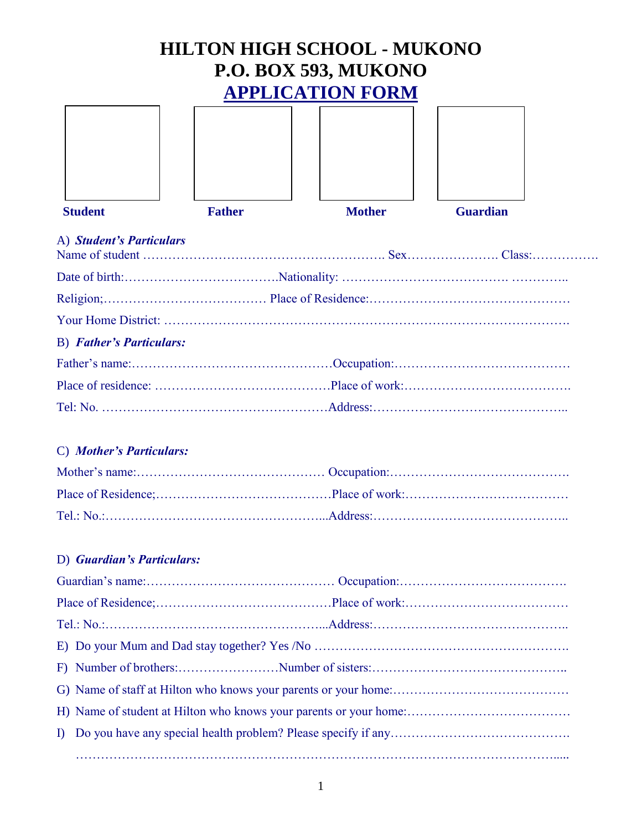# **HILTON HIGH SCHOOL - MUKONO P.O. BOX 593, MUKONO APPLICATION FORM**

| <b>Student</b>                  | <b>Father</b> | <b>Mother</b> | <b>Guardian</b> |
|---------------------------------|---------------|---------------|-----------------|
| A) Student's Particulars        |               |               |                 |
|                                 |               |               |                 |
|                                 |               |               |                 |
|                                 |               |               |                 |
| <b>B)</b> Father's Particulars: |               |               |                 |
|                                 |               |               |                 |
|                                 |               |               |                 |
|                                 |               |               |                 |
|                                 |               |               |                 |

# C) *Mother's Particulars:*

# D) *Guardian's Particulars:*